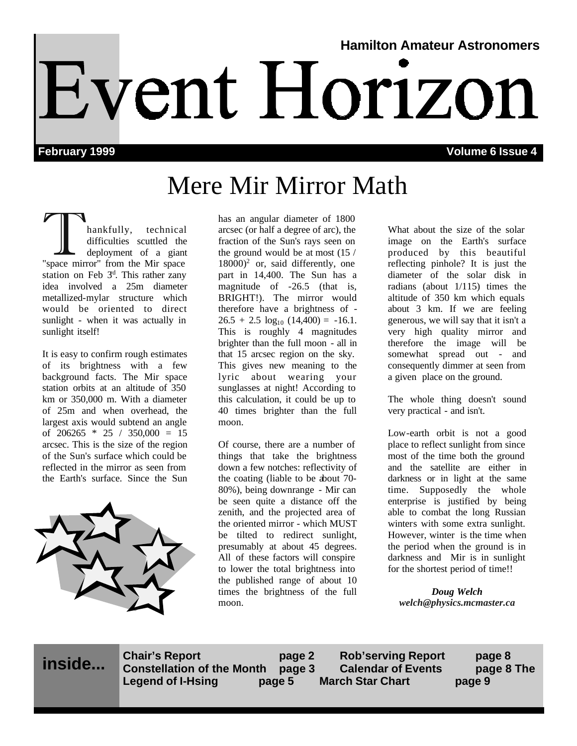# **Hamilton Amateur Astronomers** Event Horizon

**February 1999 Volume 6 Issue 4**

# Mere Mir Mirror Math

hankfully, technical<br>difficulties scuttled the<br>"space mirror" from the Mir space difficulties scuttled the deployment of a giant station on Feb  $3<sup>d</sup>$ . This rather zany idea involved a 25m diameter metallized-mylar structure which would be oriented to direct sunlight - when it was actually in sunlight itself!

It is easy to confirm rough estimates of its brightness with a few background facts. The Mir space station orbits at an altitude of 350 km or 350,000 m. With a diameter of 25m and when overhead, the largest axis would subtend an angle of  $206265 * 25 / 350,000 = 15$ arcsec. This is the size of the region of the Sun's surface which could be reflected in the mirror as seen from the Earth's surface. Since the Sun



has an angular diameter of 1800 arcsec (or half a degree of arc), the fraction of the Sun's rays seen on the ground would be at most (15 /  $18000$ <sup>2</sup> or, said differently, one part in 14,400. The Sun has a magnitude of -26.5 (that is, BRIGHT!). The mirror would therefore have a brightness of -  $26.5 + 2.5 \log_{10} (14,400) = -16.1$ . This is roughly 4 magnitudes brighter than the full moon - all in that 15 arcsec region on the sky. This gives new meaning to the lyric about wearing your sunglasses at night! According to this calculation, it could be up to 40 times brighter than the full moon.

Of course, there are a number of things that take the brightness down a few notches: reflectivity of the coating (liable to be about 70- 80%), being downrange - Mir can be seen quite a distance off the zenith, and the projected area of the oriented mirror - which MUST be tilted to redirect sunlight, presumably at about 45 degrees. All of these factors will conspire to lower the total brightness into the published range of about 10 times the brightness of the full moon.

What about the size of the solar image on the Earth's surface produced by this beautiful reflecting pinhole? It is just the diameter of the solar disk in radians (about 1/115) times the altitude of 350 km which equals about 3 km. If we are feeling generous, we will say that it isn't a very high quality mirror and therefore the image will be somewhat spread out - and consequently dimmer at seen from a given place on the ground.

The whole thing doesn't sound very practical - and isn't.

Low-earth orbit is not a good place to reflect sunlight from since most of the time both the ground and the satellite are either in darkness or in light at the same time. Supposedly the whole enterprise is justified by being able to combat the long Russian winters with some extra sunlight. However, winter is the time when the period when the ground is in darkness and Mir is in sunlight for the shortest period of time!!

*Doug Welch welch@physics.mcmaster.ca*

**inside...**

**Chair's Report page 2** Rob'serving Report **page 8**<br>Constellation of the Month **page 3** Calendar of Events **page 8 Constellation of the Month page 3 Calendar of Events page 8 The Legend of I-Hsing page 5 March Star Chart page 9**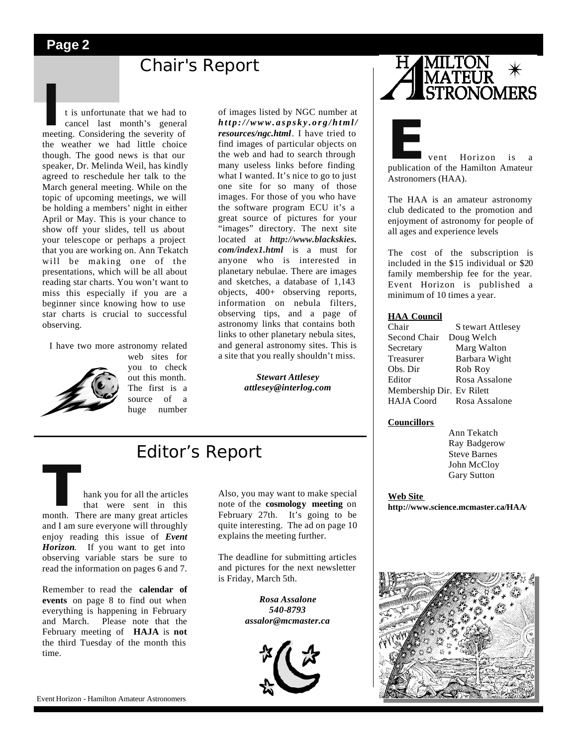# **Chair's Report**

**I** meeting. Considering the severity of t is unfortunate that we had to cancel last month's general the weather we had little choice though. The good news is that our speaker, Dr. Melinda Weil, has kindly agreed to reschedule her talk to the March general meeting. While on the topic of upcoming meetings, we will be holding a members' night in either April or May. This is your chance to show off your slides, tell us about your telescope or perhaps a project that you are working on. Ann Tekatch will be making one of the presentations, which will be all about reading star charts. You won't want to miss this especially if you are a beginner since knowing how to use star charts is crucial to successful observing.

 I have two more astronomy related web sites for



you to check out this month. The first is a source of a huge number

of images listed by NGC number at *http://www.aspsky.org/html/ resources/ngc.html*. I have tried to find images of particular objects on the web and had to search through many useless links before finding what I wanted. It's nice to go to just one site for so many of those images. For those of you who have the software program ECU it's a great source of pictures for your "images" directory. The next site located at *http://www.blackskies. com/index1.html* is a must for anyone who is interested in planetary nebulae. There are images and sketches, a database of 1,143 objects, 400+ observing reports, information on nebula filters, observing tips, and a page of astronomy links that contains both links to other planetary nebula sites, and general astronomy sites. This is a site that you really shouldn't miss.

> *Stewart Attlesey attlesey@interlog.com*

# Editor's Report

**Thank you for all the articles**<br>
that were sent in this<br>
month. There are many great articles<br>
and I am sure everyone will throughly that were sent in this and I am sure everyone will throughly enjoy reading this issue of *Event Horizon*. If you want to get into observing variable stars be sure to read the information on pages 6 and 7.

Remember to read the **calendar of events** on page 8 to find out when everything is happening in February and March. Please note that the February meeting of **HAJA** is **not**  the third Tuesday of the month this time.

Also, you may want to make special note of the **cosmology meeting** on February 27th. It's going to be quite interesting. The ad on page 10 explains the meeting further.

The deadline for submitting articles and pictures for the next newsletter is Friday, March 5th.

> *Rosa Assalone 540-8793 assalor@mcmaster.ca*





**External Structure 1.5 Formal Structure 1.5 Formal Structure 1.5 Formal Structure 1.5 Formal Structure 1.5 Formal Structure 1.5 Formal Structure 1.5 Formal Structure 1.5 Formal Structure 1.5 Formal Structure 1.5 Formal St** Astronomers (HAA).

The HAA is an amateur astronomy club dedicated to the promotion and enjoyment of astronomy for people of all ages and experience levels

The cost of the subscription is included in the \$15 individual or \$20 family membership fee for the year. Event Horizon is published a minimum of 10 times a year.

#### **HAA Council**

| Chair                     | S tewart Attlesey |
|---------------------------|-------------------|
| Second Chair              | Doug Welch        |
| Secretary                 | Marg Walton       |
| Treasurer                 | Barbara Wight     |
| Obs. Dir                  | Rob Roy           |
| Editor                    | Rosa Assalone     |
| Membership Dir. Ev Rilett |                   |
| <b>HAJA</b> Coord         | Rosa Assalone     |

#### **Councillors**

 Ann Tekatch Ray Badgerow Steve Barnes John McCloy Gary Sutton

**Web Site http://www.science.mcmaster.ca/HAA/** 

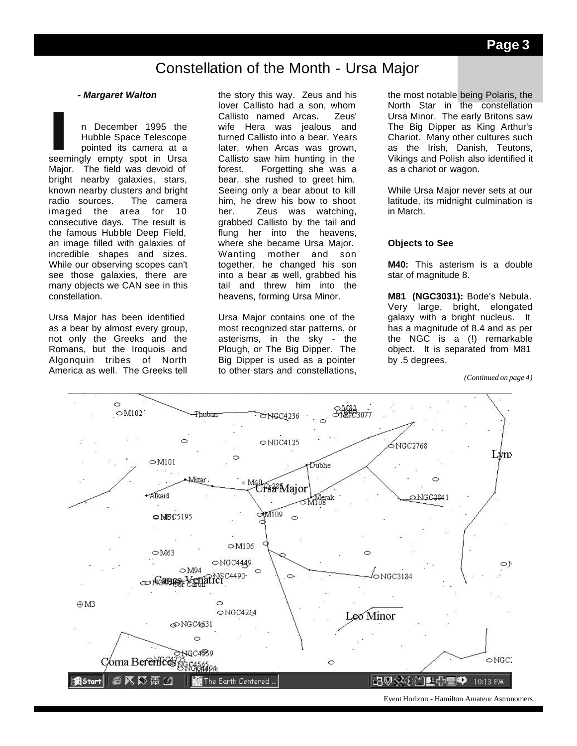# Constellation of the Month - Ursa Major

#### *- Margaret Walton*

I
n December 1995 the<br>
Hubble Space Telescope<br>
pointed its camera at a<br>
seemingly empty spot in Ursa n December 1995 the Hubble Space Telescope pointed its camera at a Major. The field was devoid of bright nearby galaxies, stars, known nearby clusters and bright radio sources. The camera imaged the area for 10 consecutive days. The result is the famous Hubble Deep Field, an image filled with galaxies of incredible shapes and sizes. While our observing scopes can't see those galaxies, there are many objects we CAN see in this constellation.

Ursa Major has been identified as a bear by almost every group, not only the Greeks and the Romans, but the Iroquois and Algonquin tribes of North America as well. The Greeks tell the story this way. Zeus and his lover Callisto had a son, whom Callisto named Arcas. Zeus' wife Hera was iealous and turned Callisto into a bear. Years later, when Arcas was grown, Callisto saw him hunting in the forest. Forgetting she was a bear, she rushed to greet him. Seeing only a bear about to kill him, he drew his bow to shoot her. Zeus was watching, grabbed Callisto by the tail and flung her into the heavens, where she became Ursa Major. Wanting mother and son together, he changed his son into a bear as well, grabbed his tail and threw him into the heavens, forming Ursa Minor.

Ursa Major contains one of the most recognized star patterns, or asterisms, in the sky - the Plough, or The Big Dipper. The Big Dipper is used as a pointer to other stars and constellations,

the most notable being Polaris, the North Star in the constellation Ursa Minor. The early Britons saw The Big Dipper as King Arthur's Chariot. Many other cultures such as the Irish, Danish, Teutons, Vikings and Polish also identified it as a chariot or wagon.

While Ursa Major never sets at our latitude, its midnight culmination is in March.

## **Objects to See**

**M40:** This asterism is a double star of magnitude 8.

**M81 (NGC3031):** Bode's Nebula. Very large, bright, elongated galaxy with a bright nucleus. It has a magnitude of 8.4 and as per the NGC is a (!) remarkable object. It is separated from M81 by .5 degrees.

*(Continued on page 4)*

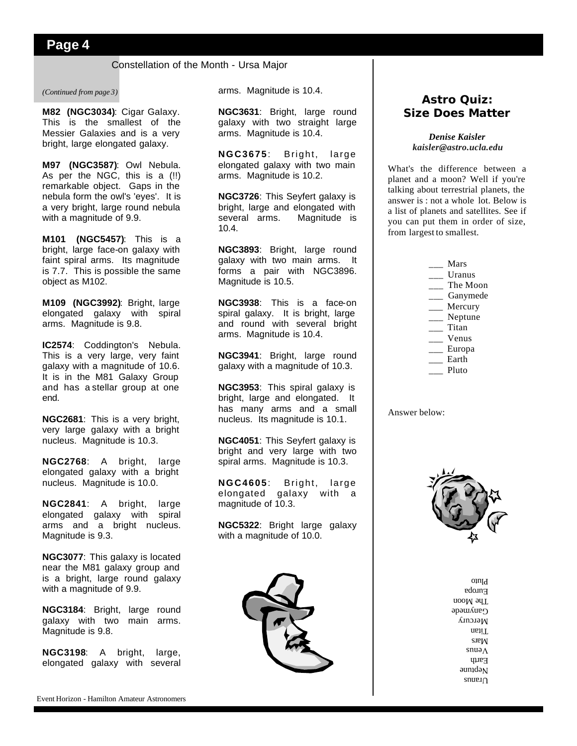**Page 4**

# Constellation of the Month - Ursa Major

## *(Continued from page 3)*

**M82 (NGC3034)**: Cigar Galaxy. This is the smallest of the Messier Galaxies and is a very bright, large elongated galaxy.

**M97 (NGC3587)**: Owl Nebula. As per the NGC, this is a (!!) remarkable object. Gaps in the nebula form the owl's 'eyes'. It is a very bright, large round nebula with a magnitude of 9.9.

**M101 (NGC5457)**: This is a bright, large face-on galaxy with faint spiral arms. Its magnitude is 7.7. This is possible the same object as M102.

**M109 (NGC3992)**: Bright, large elongated galaxy with spiral arms. Magnitude is 9.8.

**IC2574**: Coddington's Nebula. This is a very large, very faint galaxy with a magnitude of 10.6. It is in the M81 Galaxy Group and has a stellar group at one end.

**NGC2681**: This is a very bright, very large galaxy with a bright nucleus. Magnitude is 10.3.

**NGC2768**: A bright, large elongated galaxy with a bright nucleus. Magnitude is 10.0.

**NGC2841**: A bright, large elongated galaxy with spiral arms and a bright nucleus. Magnitude is 9.3.

**NGC3077**: This galaxy is located near the M81 galaxy group and is a bright, large round galaxy with a magnitude of 9.9.

**NGC3184**: Bright, large round galaxy with two main arms. Magnitude is 9.8.

**NGC3198**: A bright, large, elongated galaxy with several arms. Magnitude is 10.4.

**NGC3631**: Bright, large round galaxy with two straight large arms. Magnitude is 10.4.

**NGC3675**: Bright, large elongated galaxy with two main arms. Magnitude is 10.2.

**NGC3726**: This Seyfert galaxy is bright, large and elongated with several arms. Magnitude is 10.4.

**NGC3893**: Bright, large round galaxy with two main arms. It forms a pair with NGC3896. Magnitude is 10.5.

**NGC3938**: This is a face-on spiral galaxy. It is bright, large and round with several bright arms. Magnitude is 10.4.

**NGC3941**: Bright, large round galaxy with a magnitude of 10.3.

**NGC3953**: This spiral galaxy is bright, large and elongated. It has many arms and a small nucleus. Its magnitude is 10.1.

**NGC4051**: This Seyfert galaxy is bright and very large with two spiral arms. Magnitude is 10.3.

**NGC4605**: Bright, large elongated galaxy with a magnitude of 10.3.

**NGC5322**: Bright large galaxy with a magnitude of 10.0.



# **Astro Quiz: Size Does Matter**

*Denise Kaisler kaisler@astro.ucla.edu*

What's the difference between a planet and a moon? Well if you're talking about terrestrial planets, the answer is : not a whole lot. Below is a list of planets and satellites. See if you can put them in order of size, from largest to smallest.

> \_\_\_ Mars \_\_\_ Uranus \_\_\_ The Moon \_\_\_ Ganymede \_\_\_ Mercury \_\_\_ Neptune \_\_\_ Titan \_\_\_ Venus \_\_\_ Europa  $\frac{1}{2}$  Earth \_\_\_ Pluto

Answer below:



 $s$ nue. $\Omega$  $a$ umd $a$ Earth  $s$ nuə $\Lambda$ snsM Titan Mercury Ganymede The Moon Europa Pluto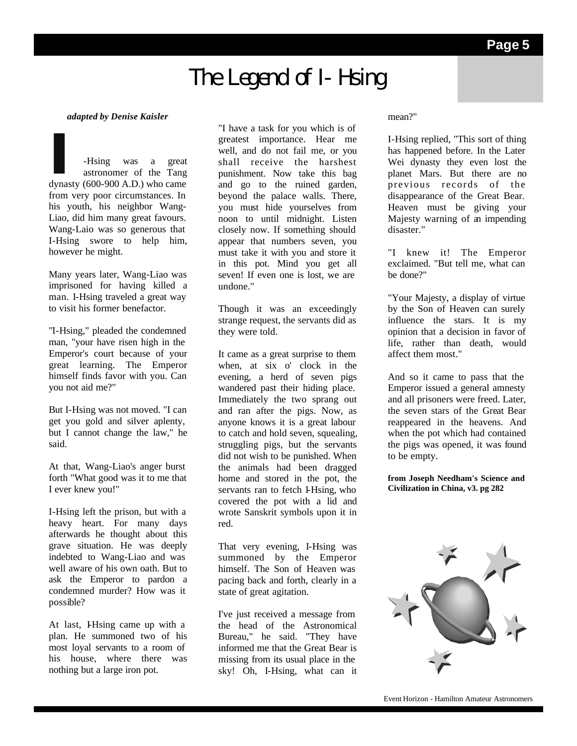# **The Legend of I-Hsing**

# *adapted by Denise Kaisler*

**I**-Hsing was a great dynasty (600-900 A.D.) who came astronomer of the Tang from very poor circumstances. In his youth, his neighbor Wang-Liao, did him many great favours. Wang-Laio was so generous that I-Hsing swore to help him, however he might.

Many years later, Wang-Liao was imprisoned for having killed a man. I-Hsing traveled a great way to visit his former benefactor.

"I-Hsing," pleaded the condemned man, "your have risen high in the Emperor's court because of your great learning. The Emperor himself finds favor with you. Can you not aid me?"

But I-Hsing was not moved. "I can get you gold and silver aplenty, but I cannot change the law," he said.

At that, Wang-Liao's anger burst forth "What good was it to me that I ever knew you!"

I-Hsing left the prison, but with a heavy heart. For many days afterwards he thought about this grave situation. He was deeply indebted to Wang-Liao and was well aware of his own oath. But to ask the Emperor to pardon a condemned murder? How was it possible?

At last, I-Hsing came up with a plan. He summoned two of his most loyal servants to a room of his house, where there was nothing but a large iron pot.

"I have a task for you which is of greatest importance. Hear me well, and do not fail me, or you shall receive the harshest punishment. Now take this bag and go to the ruined garden, beyond the palace walls. There, you must hide yourselves from noon to until midnight. Listen closely now. If something should appear that numbers seven, you must take it with you and store it in this pot. Mind you get all seven! If even one is lost, we are undone."

Though it was an exceedingly strange request, the servants did as they were told.

It came as a great surprise to them when, at six o' clock in the evening, a herd of seven pigs wandered past their hiding place. Immediately the two sprang out and ran after the pigs. Now, as anyone knows it is a great labour to catch and hold seven, squealing, struggling pigs, but the servants did not wish to be punished. When the animals had been dragged home and stored in the pot, the servants ran to fetch I-Hsing, who covered the pot with a lid and wrote Sanskrit symbols upon it in red.

That very evening, I-Hsing was summoned by the Emperor himself. The Son of Heaven was pacing back and forth, clearly in a state of great agitation.

I've just received a message from the head of the Astronomical Bureau," he said. "They have informed me that the Great Bear is missing from its usual place in the sky! Oh, I-Hsing, what can it

## mean?"

I-Hsing replied, "This sort of thing has happened before. In the Later Wei dynasty they even lost the planet Mars. But there are no previous records of the disappearance of the Great Bear. Heaven must be giving your Majesty warning of an impending disaster."

"I knew it! The Emperor exclaimed. "But tell me, what can be done?"

"Your Majesty, a display of virtue by the Son of Heaven can surely influence the stars. It is my opinion that a decision in favor of life, rather than death, would affect them most."

And so it came to pass that the Emperor issued a general amnesty and all prisoners were freed. Later, the seven stars of the Great Bear reappeared in the heavens. And when the pot which had contained the pigs was opened, it was found to be empty.

**from Joseph Needham's Science and Civilization in China, v3. pg 282**

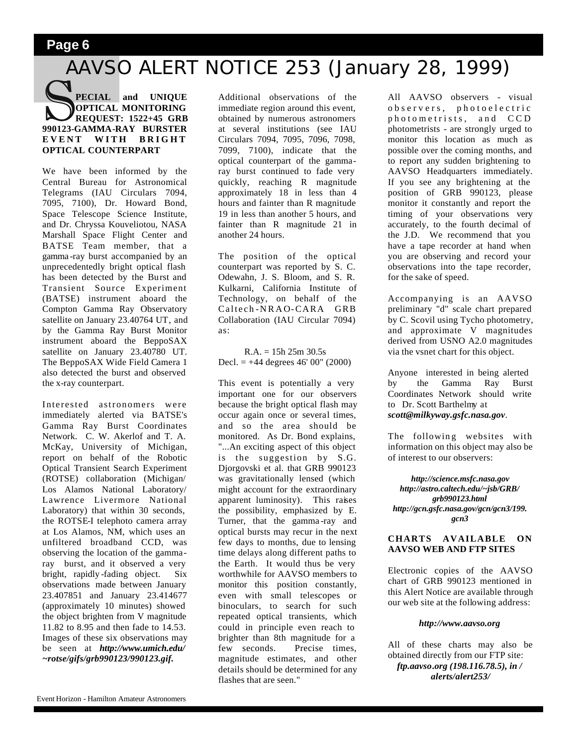# **Page 6**

# AAVSO ALERT NOTICE 253 (January 28, 1999)

# **SPECIAL and UNIQUE OPTICAL MONITORING**<br> **990123-GAMMA-RAY BURSTER PECIAL and UNIQUE OPTICAL MONITORING REQUEST: 1522+45 GRB EVENT WITH BRIGHT OPTICAL COUNTERPART**

We have been informed by the Central Bureau for Astronomical Telegrams (IAU Circulars 7094, 7095, 7100), Dr. Howard Bond, Space Telescope Science Institute, and Dr. Chryssa Kouveliotou, NASA Marshall Space Flight Center and BATSE Team member, that a gamma -ray burst accompanied by an unprecedentedly bright optical flash has been detected by the Burst and Transient Source Experiment (BATSE) instrument aboard the Compton Gamma Ray Observatory satellite on January 23.40764 UT, and by the Gamma Ray Burst Monitor instrument aboard the BeppoSAX satellite on January 23.40780 UT. The BeppoSAX Wide Field Camera 1 also detected the burst and observed the x-ray counterpart.

Interested astronomers were immediately alerted via BATSE's Gamma Ray Burst Coordinates Network. C. W. Akerlof and T. A. McKay, University of Michigan, report on behalf of the Robotic Optical Transient Search Experiment (ROTSE) collaboration (Michigan/ Los Alamos National Laboratory/ Lawrence Livermore National Laboratory) that within 30 seconds, the ROTSE-I telephoto camera array at Los Alamos, NM, which uses an unfiltered broadband CCD, was observing the location of the gammaray burst, and it observed a very bright, rapidly -fading object. Six observations made between January 23.407851 and January 23.414677 (approximately 10 minutes) showed the object brighten from V magnitude 11.82 to 8.95 and then fade to 14.53. Images of these six observations may be seen at *http://www.umich.edu/ ~rotse/gifs/grb990123/990123.gif.*

Additional observations of the immediate region around this event, obtained by numerous astronomers at several institutions (see IAU Circulars 7094, 7095, 7096, 7098, 7099, 7100), indicate that the optical counterpart of the gammaray burst continued to fade very quickly, reaching R magnitude approximately 18 in less than 4 hours and fainter than R magnitude 19 in less than another 5 hours, and fainter than R magnitude 21 in another 24 hours.

The position of the optical counterpart was reported by S. C. Odewahn, J. S. Bloom, and S. R. Kulkarni, California Institute of Technology, on behalf of the Caltech -NRAO-CARA GRB Collaboration (IAU Circular 7094) as:

 $R.A. = 15h 25m 30.5s$ Decl. =  $+44$  degrees 46' 00" (2000)

This event is potentially a very important one for our observers because the bright optical flash may occur again once or several times, and so the area should be monitored. As Dr. Bond explains, "...An exciting aspect of this object is the suggestion by S.G. Djorgovski et al. that GRB 990123 was gravitationally lensed (which might account for the extraordinary apparent luminosity). This raises the possibility, emphasized by E. Turner, that the gamma -ray and optical bursts may recur in the next few days to months, due to lensing time delays along different paths to the Earth. It would thus be very worthwhile for AAVSO members to monitor this position constantly, even with small telescopes or binoculars, to search for such repeated optical transients, which could in principle even reach to brighter than 8th magnitude for a few seconds. Precise times, magnitude estimates, and other details should be determined for any flashes that are seen."

All AAVSO observers - visual observers, photoelectric photometrists, and CCD photometrists - are strongly urged to monitor this location as much as possible over the coming months, and to report any sudden brightening to AAVSO Headquarters immediately. If you see any brightening at the position of GRB 990123, please monitor it constantly and report the timing of your observations very accurately, to the fourth decimal of the J.D. We recommend that you have a tape recorder at hand when you are observing and record your observations into the tape recorder, for the sake of speed.

Accompanying is an AAVSO preliminary "d" scale chart prepared by C. Scovil using Tycho photometry, and approximate V magnitudes derived from USNO A2.0 magnitudes via the vsnet chart for this object.

Anyone interested in being alerted by the Gamma Ray Burst Coordinates Network should write to Dr. Scott Barthelmy at *scott@milkyway.gsfc.nasa.gov*.

The following websites with information on this object may also be of interest to our observers:

*http://science.msfc.nasa.gov http://astro.caltech.edu/~jsb/GRB/ grb990123.html http://gcn.gsfc.nasa.gov/gcn/gcn3/199. gcn3*

## **CHARTS AVAILABLE ON AAVSO WEB AND FTP SITES**

Electronic copies of the AAVSO chart of GRB 990123 mentioned in this Alert Notice are available through our web site at the following address:

#### *http://www.aavso.org*

All of these charts may also be obtained directly from our FTP site: *ftp.aavso.org (198.116.78.5), in / alerts/alert253/*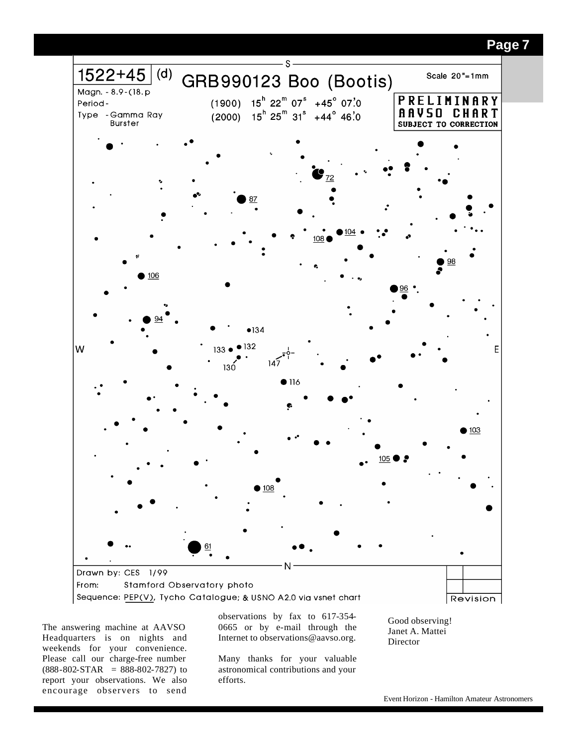

The answering machine at AAVSO Headquarters is on nights and weekends for your convenience. Please call our charge-free number  $(888-802-STAR = 888-802-7827)$  to report your observations. We also encourage observers to send

observations by fax to 617-354- 0665 or by e-mail through the Internet to observations@aavso.org.

Many thanks for your valuable astronomical contributions and your efforts.

Good observing! Janet A. Mattei Director

# **Page 7**